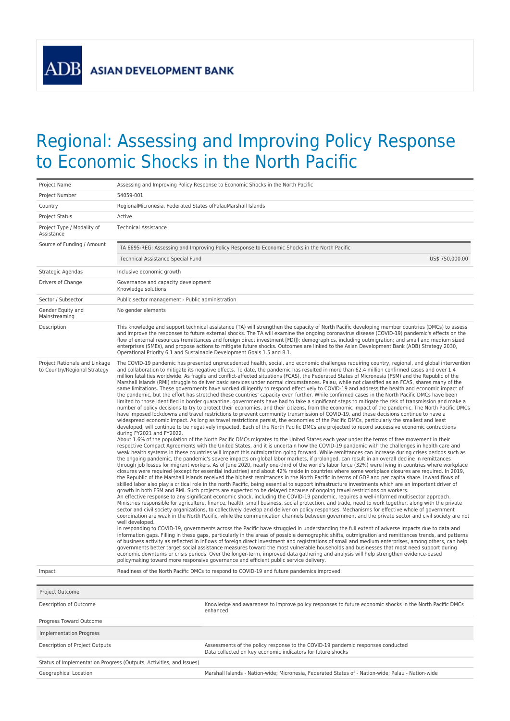**ADB** 

## Regional: Assessing and Improving Policy Response to Economic Shocks in the North Pacific

| Project Name                                                  |                                                                                                                                                                                                                                                                                                                                                                                                                                                                                                                                                                                                                                                                                                                                                                                                                                                                                                                                                                                                                                                                                                                                                                                                                                                                                                                                                                                                                                                                                                                                                                                                                                                                                                                                                                                                                                                                                                                                                                                                                                                                                                                                                                                                                                                                                                                                                                                                                                                                                                                                                                                                                                                                                                                                                                                                                                                                                                                                                                                                                                                                                                                                                                                                                                                                                                                                                                                                                                                                                                                                                                                                                                                                                                                                                                                                                                                                                                                                                                                                                                                                                                                                                                                                                                                                                                                                                                                                                                                                                                                                                                                                                                                                                                                                    | Assessing and Improving Policy Response to Economic Shocks in the North Pacific                                                                                                                                                                                                                                                                                                                                                                    |  |  |  |
|---------------------------------------------------------------|------------------------------------------------------------------------------------------------------------------------------------------------------------------------------------------------------------------------------------------------------------------------------------------------------------------------------------------------------------------------------------------------------------------------------------------------------------------------------------------------------------------------------------------------------------------------------------------------------------------------------------------------------------------------------------------------------------------------------------------------------------------------------------------------------------------------------------------------------------------------------------------------------------------------------------------------------------------------------------------------------------------------------------------------------------------------------------------------------------------------------------------------------------------------------------------------------------------------------------------------------------------------------------------------------------------------------------------------------------------------------------------------------------------------------------------------------------------------------------------------------------------------------------------------------------------------------------------------------------------------------------------------------------------------------------------------------------------------------------------------------------------------------------------------------------------------------------------------------------------------------------------------------------------------------------------------------------------------------------------------------------------------------------------------------------------------------------------------------------------------------------------------------------------------------------------------------------------------------------------------------------------------------------------------------------------------------------------------------------------------------------------------------------------------------------------------------------------------------------------------------------------------------------------------------------------------------------------------------------------------------------------------------------------------------------------------------------------------------------------------------------------------------------------------------------------------------------------------------------------------------------------------------------------------------------------------------------------------------------------------------------------------------------------------------------------------------------------------------------------------------------------------------------------------------------------------------------------------------------------------------------------------------------------------------------------------------------------------------------------------------------------------------------------------------------------------------------------------------------------------------------------------------------------------------------------------------------------------------------------------------------------------------------------------------------------------------------------------------------------------------------------------------------------------------------------------------------------------------------------------------------------------------------------------------------------------------------------------------------------------------------------------------------------------------------------------------------------------------------------------------------------------------------------------------------------------------------------------------------------------------------------------------------------------------------------------------------------------------------------------------------------------------------------------------------------------------------------------------------------------------------------------------------------------------------------------------------------------------------------------------------------------------------------------------------------------------------------------------------|----------------------------------------------------------------------------------------------------------------------------------------------------------------------------------------------------------------------------------------------------------------------------------------------------------------------------------------------------------------------------------------------------------------------------------------------------|--|--|--|
| Project Number                                                | 54059-001                                                                                                                                                                                                                                                                                                                                                                                                                                                                                                                                                                                                                                                                                                                                                                                                                                                                                                                                                                                                                                                                                                                                                                                                                                                                                                                                                                                                                                                                                                                                                                                                                                                                                                                                                                                                                                                                                                                                                                                                                                                                                                                                                                                                                                                                                                                                                                                                                                                                                                                                                                                                                                                                                                                                                                                                                                                                                                                                                                                                                                                                                                                                                                                                                                                                                                                                                                                                                                                                                                                                                                                                                                                                                                                                                                                                                                                                                                                                                                                                                                                                                                                                                                                                                                                                                                                                                                                                                                                                                                                                                                                                                                                                                                                          |                                                                                                                                                                                                                                                                                                                                                                                                                                                    |  |  |  |
| Country                                                       | RegionalMicronesia, Federated States ofPalauMarshall Islands                                                                                                                                                                                                                                                                                                                                                                                                                                                                                                                                                                                                                                                                                                                                                                                                                                                                                                                                                                                                                                                                                                                                                                                                                                                                                                                                                                                                                                                                                                                                                                                                                                                                                                                                                                                                                                                                                                                                                                                                                                                                                                                                                                                                                                                                                                                                                                                                                                                                                                                                                                                                                                                                                                                                                                                                                                                                                                                                                                                                                                                                                                                                                                                                                                                                                                                                                                                                                                                                                                                                                                                                                                                                                                                                                                                                                                                                                                                                                                                                                                                                                                                                                                                                                                                                                                                                                                                                                                                                                                                                                                                                                                                                       |                                                                                                                                                                                                                                                                                                                                                                                                                                                    |  |  |  |
| Project Status                                                | Active                                                                                                                                                                                                                                                                                                                                                                                                                                                                                                                                                                                                                                                                                                                                                                                                                                                                                                                                                                                                                                                                                                                                                                                                                                                                                                                                                                                                                                                                                                                                                                                                                                                                                                                                                                                                                                                                                                                                                                                                                                                                                                                                                                                                                                                                                                                                                                                                                                                                                                                                                                                                                                                                                                                                                                                                                                                                                                                                                                                                                                                                                                                                                                                                                                                                                                                                                                                                                                                                                                                                                                                                                                                                                                                                                                                                                                                                                                                                                                                                                                                                                                                                                                                                                                                                                                                                                                                                                                                                                                                                                                                                                                                                                                                             |                                                                                                                                                                                                                                                                                                                                                                                                                                                    |  |  |  |
| Project Type / Modality of<br>Assistance                      | <b>Technical Assistance</b>                                                                                                                                                                                                                                                                                                                                                                                                                                                                                                                                                                                                                                                                                                                                                                                                                                                                                                                                                                                                                                                                                                                                                                                                                                                                                                                                                                                                                                                                                                                                                                                                                                                                                                                                                                                                                                                                                                                                                                                                                                                                                                                                                                                                                                                                                                                                                                                                                                                                                                                                                                                                                                                                                                                                                                                                                                                                                                                                                                                                                                                                                                                                                                                                                                                                                                                                                                                                                                                                                                                                                                                                                                                                                                                                                                                                                                                                                                                                                                                                                                                                                                                                                                                                                                                                                                                                                                                                                                                                                                                                                                                                                                                                                                        |                                                                                                                                                                                                                                                                                                                                                                                                                                                    |  |  |  |
| Source of Funding / Amount                                    | TA 6695-REG: Assessing and Improving Policy Response to Economic Shocks in the North Pacific                                                                                                                                                                                                                                                                                                                                                                                                                                                                                                                                                                                                                                                                                                                                                                                                                                                                                                                                                                                                                                                                                                                                                                                                                                                                                                                                                                                                                                                                                                                                                                                                                                                                                                                                                                                                                                                                                                                                                                                                                                                                                                                                                                                                                                                                                                                                                                                                                                                                                                                                                                                                                                                                                                                                                                                                                                                                                                                                                                                                                                                                                                                                                                                                                                                                                                                                                                                                                                                                                                                                                                                                                                                                                                                                                                                                                                                                                                                                                                                                                                                                                                                                                                                                                                                                                                                                                                                                                                                                                                                                                                                                                                       |                                                                                                                                                                                                                                                                                                                                                                                                                                                    |  |  |  |
|                                                               | Technical Assistance Special Fund                                                                                                                                                                                                                                                                                                                                                                                                                                                                                                                                                                                                                                                                                                                                                                                                                                                                                                                                                                                                                                                                                                                                                                                                                                                                                                                                                                                                                                                                                                                                                                                                                                                                                                                                                                                                                                                                                                                                                                                                                                                                                                                                                                                                                                                                                                                                                                                                                                                                                                                                                                                                                                                                                                                                                                                                                                                                                                                                                                                                                                                                                                                                                                                                                                                                                                                                                                                                                                                                                                                                                                                                                                                                                                                                                                                                                                                                                                                                                                                                                                                                                                                                                                                                                                                                                                                                                                                                                                                                                                                                                                                                                                                                                                  | US\$ 750,000.00                                                                                                                                                                                                                                                                                                                                                                                                                                    |  |  |  |
| Strategic Agendas                                             | Inclusive economic growth                                                                                                                                                                                                                                                                                                                                                                                                                                                                                                                                                                                                                                                                                                                                                                                                                                                                                                                                                                                                                                                                                                                                                                                                                                                                                                                                                                                                                                                                                                                                                                                                                                                                                                                                                                                                                                                                                                                                                                                                                                                                                                                                                                                                                                                                                                                                                                                                                                                                                                                                                                                                                                                                                                                                                                                                                                                                                                                                                                                                                                                                                                                                                                                                                                                                                                                                                                                                                                                                                                                                                                                                                                                                                                                                                                                                                                                                                                                                                                                                                                                                                                                                                                                                                                                                                                                                                                                                                                                                                                                                                                                                                                                                                                          |                                                                                                                                                                                                                                                                                                                                                                                                                                                    |  |  |  |
| Drivers of Change                                             | Governance and capacity development<br>Knowledge solutions                                                                                                                                                                                                                                                                                                                                                                                                                                                                                                                                                                                                                                                                                                                                                                                                                                                                                                                                                                                                                                                                                                                                                                                                                                                                                                                                                                                                                                                                                                                                                                                                                                                                                                                                                                                                                                                                                                                                                                                                                                                                                                                                                                                                                                                                                                                                                                                                                                                                                                                                                                                                                                                                                                                                                                                                                                                                                                                                                                                                                                                                                                                                                                                                                                                                                                                                                                                                                                                                                                                                                                                                                                                                                                                                                                                                                                                                                                                                                                                                                                                                                                                                                                                                                                                                                                                                                                                                                                                                                                                                                                                                                                                                         |                                                                                                                                                                                                                                                                                                                                                                                                                                                    |  |  |  |
| Sector / Subsector                                            | Public sector management - Public administration                                                                                                                                                                                                                                                                                                                                                                                                                                                                                                                                                                                                                                                                                                                                                                                                                                                                                                                                                                                                                                                                                                                                                                                                                                                                                                                                                                                                                                                                                                                                                                                                                                                                                                                                                                                                                                                                                                                                                                                                                                                                                                                                                                                                                                                                                                                                                                                                                                                                                                                                                                                                                                                                                                                                                                                                                                                                                                                                                                                                                                                                                                                                                                                                                                                                                                                                                                                                                                                                                                                                                                                                                                                                                                                                                                                                                                                                                                                                                                                                                                                                                                                                                                                                                                                                                                                                                                                                                                                                                                                                                                                                                                                                                   |                                                                                                                                                                                                                                                                                                                                                                                                                                                    |  |  |  |
| Gender Equity and<br>Mainstreaming                            | No gender elements                                                                                                                                                                                                                                                                                                                                                                                                                                                                                                                                                                                                                                                                                                                                                                                                                                                                                                                                                                                                                                                                                                                                                                                                                                                                                                                                                                                                                                                                                                                                                                                                                                                                                                                                                                                                                                                                                                                                                                                                                                                                                                                                                                                                                                                                                                                                                                                                                                                                                                                                                                                                                                                                                                                                                                                                                                                                                                                                                                                                                                                                                                                                                                                                                                                                                                                                                                                                                                                                                                                                                                                                                                                                                                                                                                                                                                                                                                                                                                                                                                                                                                                                                                                                                                                                                                                                                                                                                                                                                                                                                                                                                                                                                                                 |                                                                                                                                                                                                                                                                                                                                                                                                                                                    |  |  |  |
| Description                                                   |                                                                                                                                                                                                                                                                                                                                                                                                                                                                                                                                                                                                                                                                                                                                                                                                                                                                                                                                                                                                                                                                                                                                                                                                                                                                                                                                                                                                                                                                                                                                                                                                                                                                                                                                                                                                                                                                                                                                                                                                                                                                                                                                                                                                                                                                                                                                                                                                                                                                                                                                                                                                                                                                                                                                                                                                                                                                                                                                                                                                                                                                                                                                                                                                                                                                                                                                                                                                                                                                                                                                                                                                                                                                                                                                                                                                                                                                                                                                                                                                                                                                                                                                                                                                                                                                                                                                                                                                                                                                                                                                                                                                                                                                                                                                    | This knowledge and support technical assistance (TA) will strengthen the capacity of North Pacific developing member countries (DMCs) to assess<br>and improve the responses to future external shocks. The TA will examine the ongoing coronavirus disease (COVID-19) pandemic's effects on the<br>flow of external resources (remittances and foreign direct investment [FDI]); demographics, including outmigration; and small and medium sized |  |  |  |
| Project Rationale and Linkage<br>to Country/Regional Strategy | enterprises (SMEs), and propose actions to mitigate future shocks. Outcomes are linked to the Asian Development Bank (ADB) Strategy 2030,<br>Operational Priority 6.1 and Sustainable Development Goals 1.5 and 8.1.<br>The COVID-19 pandemic has presented unprecedented health, social, and economic challenges requiring country, regional, and global intervention<br>and collaboration to mitigate its negative effects. To date, the pandemic has resulted in more than 62.4 million confirmed cases and over 1.4<br>million fatalities worldwide. As fragile and conflict-affected situations (FCAS), the Federated States of Micronesia (FSM) and the Republic of the<br>Marshall Islands (RMI) struggle to deliver basic services under normal circumstances. Palau, while not classified as an FCAS, shares many of the<br>same limitations. These governments have worked diligently to respond effectively to COVID-19 and address the health and economic impact of<br>the pandemic, but the effort has stretched these countries' capacity even further. While confirmed cases in the North Pacific DMCs have been<br>limited to those identified in border quarantine, governments have had to take a significant steps to mitigate the risk of transmission and make a<br>number of policy decisions to try to protect their economies, and their citizens, from the economic impact of the pandemic. The North Pacific DMCs<br>have imposed lockdowns and travel restrictions to prevent community transmission of COVID-19, and these decisions continue to have a<br>widespread economic impact. As long as travel restrictions persist, the economies of the Pacific DMCs, particularly the smallest and least<br>developed, will continue to be negatively impacted. Each of the North Pacific DMCs are projected to record successive economic contractions<br>during FY2021 and FY2022.<br>About 1.6% of the population of the North Pacific DMCs migrates to the United States each year under the terms of free movement in their<br>respective Compact Agreements with the United States, and it is uncertain how the COVID-19 pandemic with the challenges in health care and<br>weak health systems in these countries will impact this outmigration going forward. While remittances can increase during crises periods such as<br>the ongoing pandemic, the pandemic's severe impacts on global labor markets, if prolonged, can result in an overall decline in remittances<br>through job losses for migrant workers. As of June 2020, nearly one-third of the world's labor force (32%) were living in countries where workplace<br>closures were required (except for essential industries) and about 42% reside in countries where some workplace closures are required. In 2019,<br>the Republic of the Marshall Islands received the highest remittances in the North Pacific in terms of GDP and per capita share. Inward flows of<br>skilled labor also play a critical role in the north Pacific, being essential to support infrastructure investments which are an important driver of<br>growth in both FSM and RMI. Such projects are expected to be delayed because of ongoing travel restrictions on workers.<br>An effective response to any significant economic shock, including the COVID-19 pandemic, requires a well-informed multisector approach.<br>Ministries responsible for agriculture, finance, health, small business, social protection, and trade, need to work together, along with the private<br>sector and civil society organizations, to collectively develop and deliver on policy responses. Mechanisms for effective whole of government<br>coordination are weak in the North Pacific, while the communication channels between government and the private sector and civil society are not<br>well developed.<br>In responding to COVID-19, governments across the Pacific have struggled in understanding the full extent of adverse impacts due to data and<br>information gaps. Filling in these gaps, particularly in the areas of possible demographic shifts, outmigration and remittances trends, and patterns<br>of business activity as reflected in inflows of foreign direct investment and registrations of small and medium enterprises, among others, can help<br>governments better target social assistance measures toward the most vulnerable households and businesses that most need support during<br>economic downturns or crisis periods. Over the longer-term, improved data gathering and analysis will help strengthen evidence-based<br>policymaking toward more responsive governance and efficient public service delivery. |                                                                                                                                                                                                                                                                                                                                                                                                                                                    |  |  |  |
| Impact                                                        |                                                                                                                                                                                                                                                                                                                                                                                                                                                                                                                                                                                                                                                                                                                                                                                                                                                                                                                                                                                                                                                                                                                                                                                                                                                                                                                                                                                                                                                                                                                                                                                                                                                                                                                                                                                                                                                                                                                                                                                                                                                                                                                                                                                                                                                                                                                                                                                                                                                                                                                                                                                                                                                                                                                                                                                                                                                                                                                                                                                                                                                                                                                                                                                                                                                                                                                                                                                                                                                                                                                                                                                                                                                                                                                                                                                                                                                                                                                                                                                                                                                                                                                                                                                                                                                                                                                                                                                                                                                                                                                                                                                                                                                                                                                                    | Readiness of the North Pacific DMCs to respond to COVID-19 and future pandemics improved.                                                                                                                                                                                                                                                                                                                                                          |  |  |  |
| Project Outcome                                               |                                                                                                                                                                                                                                                                                                                                                                                                                                                                                                                                                                                                                                                                                                                                                                                                                                                                                                                                                                                                                                                                                                                                                                                                                                                                                                                                                                                                                                                                                                                                                                                                                                                                                                                                                                                                                                                                                                                                                                                                                                                                                                                                                                                                                                                                                                                                                                                                                                                                                                                                                                                                                                                                                                                                                                                                                                                                                                                                                                                                                                                                                                                                                                                                                                                                                                                                                                                                                                                                                                                                                                                                                                                                                                                                                                                                                                                                                                                                                                                                                                                                                                                                                                                                                                                                                                                                                                                                                                                                                                                                                                                                                                                                                                                                    |                                                                                                                                                                                                                                                                                                                                                                                                                                                    |  |  |  |
| Description of Outcome                                        |                                                                                                                                                                                                                                                                                                                                                                                                                                                                                                                                                                                                                                                                                                                                                                                                                                                                                                                                                                                                                                                                                                                                                                                                                                                                                                                                                                                                                                                                                                                                                                                                                                                                                                                                                                                                                                                                                                                                                                                                                                                                                                                                                                                                                                                                                                                                                                                                                                                                                                                                                                                                                                                                                                                                                                                                                                                                                                                                                                                                                                                                                                                                                                                                                                                                                                                                                                                                                                                                                                                                                                                                                                                                                                                                                                                                                                                                                                                                                                                                                                                                                                                                                                                                                                                                                                                                                                                                                                                                                                                                                                                                                                                                                                                                    | Knowledge and awareness to improve policy responses to future economic shocks in the North Pacific DMCs<br>enhanced                                                                                                                                                                                                                                                                                                                                |  |  |  |
| Progress Toward Outcome                                       |                                                                                                                                                                                                                                                                                                                                                                                                                                                                                                                                                                                                                                                                                                                                                                                                                                                                                                                                                                                                                                                                                                                                                                                                                                                                                                                                                                                                                                                                                                                                                                                                                                                                                                                                                                                                                                                                                                                                                                                                                                                                                                                                                                                                                                                                                                                                                                                                                                                                                                                                                                                                                                                                                                                                                                                                                                                                                                                                                                                                                                                                                                                                                                                                                                                                                                                                                                                                                                                                                                                                                                                                                                                                                                                                                                                                                                                                                                                                                                                                                                                                                                                                                                                                                                                                                                                                                                                                                                                                                                                                                                                                                                                                                                                                    |                                                                                                                                                                                                                                                                                                                                                                                                                                                    |  |  |  |
| <b>Implementation Progress</b>                                |                                                                                                                                                                                                                                                                                                                                                                                                                                                                                                                                                                                                                                                                                                                                                                                                                                                                                                                                                                                                                                                                                                                                                                                                                                                                                                                                                                                                                                                                                                                                                                                                                                                                                                                                                                                                                                                                                                                                                                                                                                                                                                                                                                                                                                                                                                                                                                                                                                                                                                                                                                                                                                                                                                                                                                                                                                                                                                                                                                                                                                                                                                                                                                                                                                                                                                                                                                                                                                                                                                                                                                                                                                                                                                                                                                                                                                                                                                                                                                                                                                                                                                                                                                                                                                                                                                                                                                                                                                                                                                                                                                                                                                                                                                                                    |                                                                                                                                                                                                                                                                                                                                                                                                                                                    |  |  |  |
| Description of Project Outputs                                |                                                                                                                                                                                                                                                                                                                                                                                                                                                                                                                                                                                                                                                                                                                                                                                                                                                                                                                                                                                                                                                                                                                                                                                                                                                                                                                                                                                                                                                                                                                                                                                                                                                                                                                                                                                                                                                                                                                                                                                                                                                                                                                                                                                                                                                                                                                                                                                                                                                                                                                                                                                                                                                                                                                                                                                                                                                                                                                                                                                                                                                                                                                                                                                                                                                                                                                                                                                                                                                                                                                                                                                                                                                                                                                                                                                                                                                                                                                                                                                                                                                                                                                                                                                                                                                                                                                                                                                                                                                                                                                                                                                                                                                                                                                                    | Assessments of the policy response to the COVID-19 pandemic responses conducted<br>Data collected on key economic indicators for future shocks                                                                                                                                                                                                                                                                                                     |  |  |  |
|                                                               | Status of Implementation Progress (Outputs, Activities, and Issues)                                                                                                                                                                                                                                                                                                                                                                                                                                                                                                                                                                                                                                                                                                                                                                                                                                                                                                                                                                                                                                                                                                                                                                                                                                                                                                                                                                                                                                                                                                                                                                                                                                                                                                                                                                                                                                                                                                                                                                                                                                                                                                                                                                                                                                                                                                                                                                                                                                                                                                                                                                                                                                                                                                                                                                                                                                                                                                                                                                                                                                                                                                                                                                                                                                                                                                                                                                                                                                                                                                                                                                                                                                                                                                                                                                                                                                                                                                                                                                                                                                                                                                                                                                                                                                                                                                                                                                                                                                                                                                                                                                                                                                                                |                                                                                                                                                                                                                                                                                                                                                                                                                                                    |  |  |  |
| Geographical Location                                         |                                                                                                                                                                                                                                                                                                                                                                                                                                                                                                                                                                                                                                                                                                                                                                                                                                                                                                                                                                                                                                                                                                                                                                                                                                                                                                                                                                                                                                                                                                                                                                                                                                                                                                                                                                                                                                                                                                                                                                                                                                                                                                                                                                                                                                                                                                                                                                                                                                                                                                                                                                                                                                                                                                                                                                                                                                                                                                                                                                                                                                                                                                                                                                                                                                                                                                                                                                                                                                                                                                                                                                                                                                                                                                                                                                                                                                                                                                                                                                                                                                                                                                                                                                                                                                                                                                                                                                                                                                                                                                                                                                                                                                                                                                                                    | Marshall Islands - Nation-wide; Micronesia, Federated States of - Nation-wide; Palau - Nation-wide                                                                                                                                                                                                                                                                                                                                                 |  |  |  |
|                                                               |                                                                                                                                                                                                                                                                                                                                                                                                                                                                                                                                                                                                                                                                                                                                                                                                                                                                                                                                                                                                                                                                                                                                                                                                                                                                                                                                                                                                                                                                                                                                                                                                                                                                                                                                                                                                                                                                                                                                                                                                                                                                                                                                                                                                                                                                                                                                                                                                                                                                                                                                                                                                                                                                                                                                                                                                                                                                                                                                                                                                                                                                                                                                                                                                                                                                                                                                                                                                                                                                                                                                                                                                                                                                                                                                                                                                                                                                                                                                                                                                                                                                                                                                                                                                                                                                                                                                                                                                                                                                                                                                                                                                                                                                                                                                    |                                                                                                                                                                                                                                                                                                                                                                                                                                                    |  |  |  |